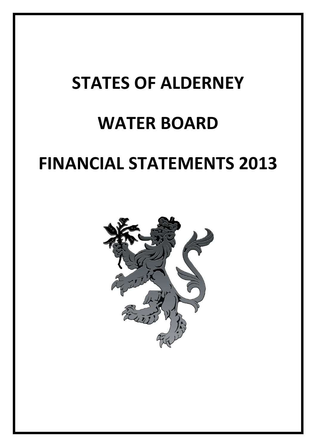# **STATES OF ALDERNEY**

## **WATER BOARD**

## **FINANCIAL STATEMENTS 2013**

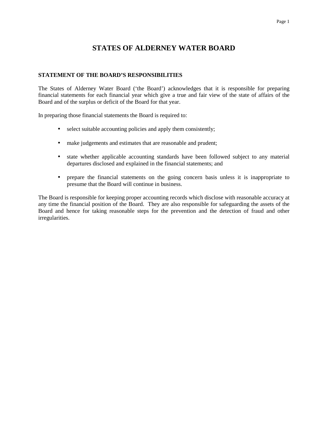## Page 1

## **STATES OF ALDERNEY WATER BOARD**

## **STATEMENT OF THE BOARD'S RESPONSIBILITIES**

The States of Alderney Water Board ('the Board') acknowledges that it is responsible for preparing financial statements for each financial year which give a true and fair view of the state of affairs of the Board and of the surplus or deficit of the Board for that year.

In preparing those financial statements the Board is required to:

- select suitable accounting policies and apply them consistently;
- make judgements and estimates that are reasonable and prudent;
- state whether applicable accounting standards have been followed subject to any material departures disclosed and explained in the financial statements; and
- prepare the financial statements on the going concern basis unless it is inappropriate to presume that the Board will continue in business.

The Board is responsible for keeping proper accounting records which disclose with reasonable accuracy at any time the financial position of the Board. They are also responsible for safeguarding the assets of the Board and hence for taking reasonable steps for the prevention and the detection of fraud and other irregularities.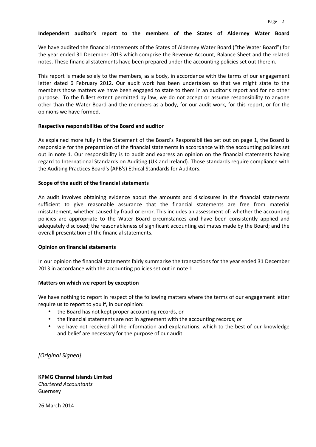## **Independent auditor's report to the members of the States of Alderney Water Board**

We have audited the financial statements of the States of Alderney Water Board ("the Water Board") for the year ended 31 December 2013 which comprise the Revenue Account, Balance Sheet and the related notes. These financial statements have been prepared under the accounting policies set out therein.

This report is made solely to the members, as a body, in accordance with the terms of our engagement letter dated 6 February 2012. Our audit work has been undertaken so that we might state to the members those matters we have been engaged to state to them in an auditor's report and for no other purpose. To the fullest extent permitted by law, we do not accept or assume responsibility to anyone other than the Water Board and the members as a body, for our audit work, for this report, or for the opinions we have formed.

## **Respective responsibilities of the Board and auditor**

As explained more fully in the Statement of the Board's Responsibilities set out on page 1, the Board is responsible for the preparation of the financial statements in accordance with the accounting policies set out in note 1. Our responsibility is to audit and express an opinion on the financial statements having regard to International Standards on Auditing (UK and Ireland). Those standards require compliance with the Auditing Practices Board's (APB's) Ethical Standards for Auditors.

## **Scope of the audit of the financial statements**

An audit involves obtaining evidence about the amounts and disclosures in the financial statements sufficient to give reasonable assurance that the financial statements are free from material misstatement, whether caused by fraud or error. This includes an assessment of: whether the accounting policies are appropriate to the Water Board circumstances and have been consistently applied and adequately disclosed; the reasonableness of significant accounting estimates made by the Board; and the overall presentation of the financial statements.

## **Opinion on financial statements**

In our opinion the financial statements fairly summarise the transactions for the year ended 31 December 2013 in accordance with the accounting policies set out in note 1.

## **Matters on which we report by exception**

We have nothing to report in respect of the following matters where the terms of our engagement letter require us to report to you if, in our opinion:

- the Board has not kept proper accounting records, or
- the financial statements are not in agreement with the accounting records; or
- we have not received all the information and explanations, which to the best of our knowledge and belief are necessary for the purpose of our audit.

*[Original Signed]* 

**KPMG Channel Islands Limited**  *Chartered Accountants*  Guernsey

26 March 2014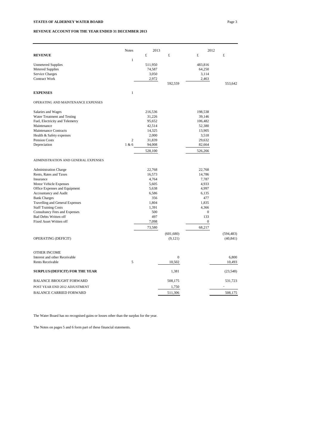#### **REVENUE ACCOUNT FOR THE YEAR ENDED 31 DECEMBER 2013**

|                                     | 2013           |         | 2012         |                  |                 |
|-------------------------------------|----------------|---------|--------------|------------------|-----------------|
| <b>REVENUE</b>                      | <b>Notes</b>   | £       | £            | £                | £               |
|                                     | $\mathbf{1}$   |         |              |                  |                 |
| <b>Unmetered Supplies</b>           |                | 511,950 |              | 483,816          |                 |
| <b>Metered Supplies</b>             |                | 74,587  |              | 64,250           |                 |
| Service Charges                     |                | 3,050   |              | 3,114            |                 |
| Contract Work                       |                | 2,972   |              | 2,463            |                 |
|                                     |                |         | 592,559      |                  | 553,642         |
| <b>EXPENSES</b>                     | $\mathbf{1}$   |         |              |                  |                 |
| OPERATING AND MAINTENANCE EXPENSES  |                |         |              |                  |                 |
| Salaries and Wages                  |                | 216,536 |              | 198,538          |                 |
| Water Treatment and Testing         |                | 31,226  |              | 39,146           |                 |
| Fuel, Electricity and Telemetry     |                | 95,652  |              | 106,482          |                 |
| Maintenance                         |                | 42,514  |              | 52,380           |                 |
| <b>Maintenance Contracts</b>        |                | 14,325  |              | 13,905           |                 |
| Health & Safety expenses            |                | 2,000   |              | 3,518            |                 |
| Pension Costs                       | $\overline{c}$ | 31,839  |              | 29,632           |                 |
| Depreciation                        | 1 & 6          | 94,008  |              | 82,664           |                 |
|                                     |                | 528,100 |              | 526,266          |                 |
| ADMINISTRATION AND GENERAL EXPENSES |                |         |              |                  |                 |
| <b>Administration Charge</b>        |                | 22,768  |              | 22,768           |                 |
| Rents, Rates and Taxes              |                | 16,573  |              | 14,786           |                 |
| Insurance                           |                | 4,764   |              | 7,787            |                 |
| Motor Vehicle Expenses              |                | 5,605   |              | 4,933            |                 |
| Office Expenses and Equipment       |                | 5,638   |              | 4,997            |                 |
| Accountancy and Audit               |                | 6,586   |              | 6,135            |                 |
| <b>Bank Charges</b>                 |                | 356     |              | 477              |                 |
| Travelling and General Expenses     |                | 1,804   |              | 1,835            |                 |
| <b>Staff Training Costs</b>         |                | 1,391   |              | 4,366            |                 |
| Consultancy Fees and Expenses       |                | 500     |              | $\mathbf{0}$     |                 |
| <b>Bad Debts Written off</b>        |                | 497     |              | 133              |                 |
| Fixed Asset Written off             |                | 7,098   |              | $\boldsymbol{0}$ |                 |
|                                     |                | 73,580  |              | 68,217           |                 |
|                                     |                |         | (601, 680)   |                  | (594, 483)      |
| OPERATING (DEFICIT)                 |                |         | (9,121)      |                  | (40, 841)       |
| <b>OTHER INCOME</b>                 |                |         |              |                  |                 |
| Interest and other Receivable       |                |         | $\mathbf{0}$ |                  |                 |
| <b>Rents Receivable</b>             | 5              |         | 10,502       |                  | 6,800<br>10,493 |
|                                     |                |         |              |                  |                 |
| SURPLUS/(DEFICIT) FOR THE YEAR      |                |         | 1,381        |                  | (23, 548)       |
| <b>BALANCE BROUGHT FORWARD</b>      |                |         | 508,175      |                  | 531,723         |
| POST YEAR END 2012 ADJUSTMENT       |                |         | 1,750        |                  |                 |
| <b>BALANCE CARRIED FORWARD</b>      |                |         | 511,306      |                  | 508,175         |

The Water Board has no recognised gains or losses other than the surplus for the year.

The Notes on pages 5 and 6 form part of these financial statements.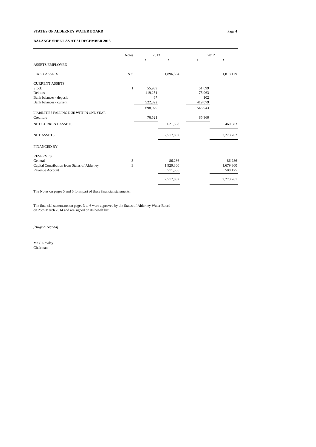### **STATES OF ALDERNEY WATER BOARD** Page 4

### **BALANCE SHEET AS AT 31 DECEMBER 2013**

|                                              | <b>Notes</b> | 2013    |           | 2012    |           |
|----------------------------------------------|--------------|---------|-----------|---------|-----------|
| <b>ASSETS EMPLOYED</b>                       |              | £       | £         | £       | £         |
| <b>FIXED ASSETS</b>                          | 1 & 6        |         | 1,896,334 |         | 1,813,179 |
| <b>CURRENT ASSETS</b>                        |              |         |           |         |           |
| Stock                                        | $\mathbf{1}$ | 55,939  |           | 51,699  |           |
| Debtors                                      |              | 119,251 |           | 75,063  |           |
| Bank balances - deposit                      |              | 67      |           | 102     |           |
| Bank balances - current                      |              | 522,822 |           | 419,079 |           |
|                                              |              | 698,079 |           | 545,943 |           |
| LIABILITIES FALLING DUE WITHIN ONE YEAR      |              |         |           |         |           |
| Creditors                                    |              | 76,521  |           | 85,360  |           |
| NET CURRENT ASSETS                           |              |         | 621,558   |         | 460,583   |
| <b>NET ASSETS</b>                            |              |         | 2,517,892 |         | 2,273,762 |
| <b>FINANCED BY</b>                           |              |         |           |         |           |
| <b>RESERVES</b>                              |              |         |           |         |           |
| General                                      | 3            |         | 86,286    |         | 86,286    |
| Capital Contribution from States of Alderney | 3            |         | 1,920,300 |         | 1,679,300 |
| Revenue Account                              |              |         | 511,306   |         | 508,175   |
|                                              |              |         | 2,517,892 |         | 2,273,761 |

The Notes on pages 5 and 6 form part of these financial statements.

The financial statements on pages 3 to 6 were approved by the States of Alderney Water Board on 25th March 2014 and are signed on its behalf by:

*[Original Signed]*

Mr C Rowley Chairman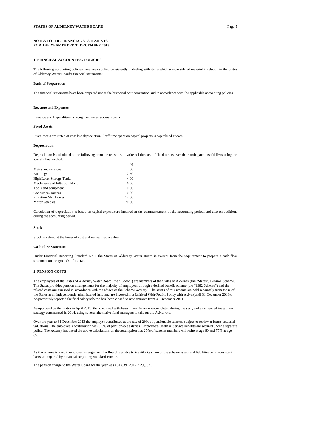**NOTES TO THE FINANCIAL STATEMENTS FOR THE YEAR ENDED 31 DECEMBER 2013**

#### **1 PRINCIPAL ACCOUNTING POLICIES**

The following accounting policies have been applied consistently in dealing with items which are considered material in relation to the States of Alderney Water Board's financial statements:

#### **Basis of Preparation**

The financial statements have been prepared under the historical cost convention and in accordance with the applicable accounting policies.

#### **Revenue and Expenses**

Revenue and Expenditure is recognised on an accruals basis.

#### **Fixed Assets**

Fixed assets are stated at cost less depreciation. Staff time spent on capital projects is capitalised at cost.

#### **Depreciation**

Depreciation is calculated at the following annual rates so as to write off the cost of fixed assets over their anticipated useful lives using the straight line method:

 $\frac{1}{2}$ 

| 2.50  |
|-------|
| 2.50  |
| 4.00  |
| 6.66  |
| 10.00 |
| 10.00 |
| 14.50 |
| 20.00 |
|       |

Calculation of depreciation is based on capital expenditure incurred at the commencement of the accounting period, and also on additions during the accounting period.

#### **Stock**

Stock is valued at the lower of cost and net realisable value.

#### **Cash Flow Statement**

Under Financial Reporting Standard No 1 the States of Alderney Water Board is exempt from the requirement to prepare a cash flow statement on the grounds of its size.

#### **2 PENSION COSTS**

The employees of the States of Alderney Water Board (the " Board") are members of the States of Alderney (the "States") Pension Scheme. The States provides pension arrangements for the majority of employees through a defined benefit scheme (the "1982 Scheme") and the related costs are assessed in accordance with the advice of the Scheme Actuary. The assets of this scheme are held separately from those of the States in an independently administered fund and are invested in a Unitised With-Profits Policy with Aviva (until 31 December 2013). As previously reported the final salary scheme has been closed to new entrants from 31 December 2011.

As approved by the States in April 2013, the structured withdrawal from Aviva was completed during the year, and an amended investment strategy commenced in 2014, using several alternative fund managers to take on the Aviva role.

Over the year to 31 December 2013 the employer contributed at the rate of 20% of pensionable salaries, subject to review at future actuarial valuations. The employee's contribution was 6.5% of pensionable salaries. Employee's Death in Service benefits are secured under a separate policy. The Actuary has based the above calculations on the assumption that 25% of scheme members will retire at age 60 and 75% at age 65.

As the scheme is a multi employer arrangement the Board is unable to identify its share of the scheme assets and liabilities on a consistent basis, as required by Financial Reporting Standard FRS17.

The pension charge to the Water Board for the year was £31,839 (2012: £29,632).